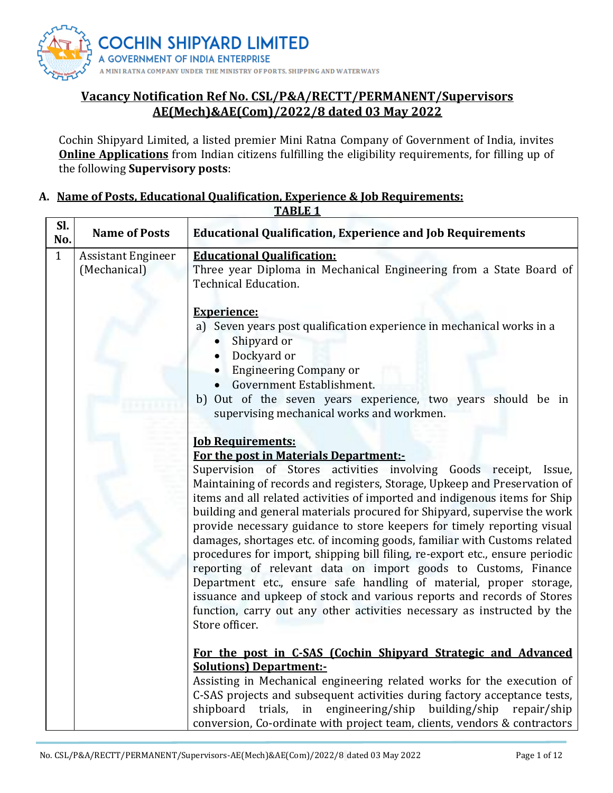

# **Vacancy Notification Ref No. CSL/P&A/RECTT/PERMANENT/Supervisors AE(Mech)&AE(Com)/2022/8 dated 03 May 2022**

Cochin Shipyard Limited, a listed premier Mini Ratna Company of Government of India, invites **Online Applications** from Indian citizens fulfilling the eligibility requirements, for filling up of the following **Supervisory posts**:

#### **A. Name of Posts, Educational Qualification, Experience & Job Requirements: TABLE 1**

|              | <u> ІАВLЕ І</u>                                                                           |                                                                                                                                                                                                                                                                                                                                                                                                                                                                                                                                                                                                                                                                                                                                                                                                                                                                  |  |  |  |  |
|--------------|-------------------------------------------------------------------------------------------|------------------------------------------------------------------------------------------------------------------------------------------------------------------------------------------------------------------------------------------------------------------------------------------------------------------------------------------------------------------------------------------------------------------------------------------------------------------------------------------------------------------------------------------------------------------------------------------------------------------------------------------------------------------------------------------------------------------------------------------------------------------------------------------------------------------------------------------------------------------|--|--|--|--|
| SI.<br>No.   | <b>Name of Posts</b><br><b>Educational Qualification, Experience and Job Requirements</b> |                                                                                                                                                                                                                                                                                                                                                                                                                                                                                                                                                                                                                                                                                                                                                                                                                                                                  |  |  |  |  |
| $\mathbf{1}$ | <b>Assistant Engineer</b><br>(Mechanical)                                                 | <b>Educational Qualification:</b><br>Three year Diploma in Mechanical Engineering from a State Board of<br><b>Technical Education.</b>                                                                                                                                                                                                                                                                                                                                                                                                                                                                                                                                                                                                                                                                                                                           |  |  |  |  |
|              |                                                                                           | <b>Experience:</b><br>a) Seven years post qualification experience in mechanical works in a<br>Shipyard or<br>Dockyard or<br><b>Engineering Company or</b>                                                                                                                                                                                                                                                                                                                                                                                                                                                                                                                                                                                                                                                                                                       |  |  |  |  |
|              |                                                                                           | Government Establishment.<br>b) Out of the seven years experience, two years should be in<br>supervising mechanical works and workmen.                                                                                                                                                                                                                                                                                                                                                                                                                                                                                                                                                                                                                                                                                                                           |  |  |  |  |
|              |                                                                                           | <b><u>Iob Requirements:</u></b><br>For the post in Materials Department:-                                                                                                                                                                                                                                                                                                                                                                                                                                                                                                                                                                                                                                                                                                                                                                                        |  |  |  |  |
|              |                                                                                           | Supervision of Stores activities involving Goods receipt,<br>Issue,<br>Maintaining of records and registers, Storage, Upkeep and Preservation of<br>items and all related activities of imported and indigenous items for Ship<br>building and general materials procured for Shipyard, supervise the work<br>provide necessary guidance to store keepers for timely reporting visual<br>damages, shortages etc. of incoming goods, familiar with Customs related<br>procedures for import, shipping bill filing, re-export etc., ensure periodic<br>reporting of relevant data on import goods to Customs, Finance<br>Department etc., ensure safe handling of material, proper storage,<br>issuance and upkeep of stock and various reports and records of Stores<br>function, carry out any other activities necessary as instructed by the<br>Store officer. |  |  |  |  |
|              |                                                                                           | For the post in C-SAS (Cochin Shipvard Strategic and Advanced<br><b>Solutions) Department:-</b><br>Assisting in Mechanical engineering related works for the execution of                                                                                                                                                                                                                                                                                                                                                                                                                                                                                                                                                                                                                                                                                        |  |  |  |  |
|              |                                                                                           | C-SAS projects and subsequent activities during factory acceptance tests,<br>trials, in engineering/ship building/ship repair/ship<br>shipboard<br>conversion, Co-ordinate with project team, clients, vendors & contractors                                                                                                                                                                                                                                                                                                                                                                                                                                                                                                                                                                                                                                     |  |  |  |  |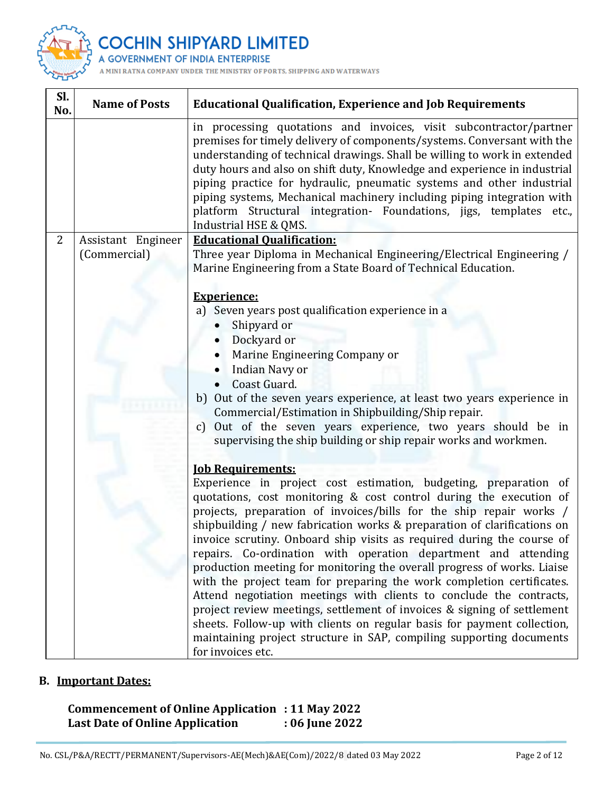

**IIN SHIPYARD LIMITED** COC

**ENT OF INDIA ENTERPRISE A GOVERI** 

A MINI ANY UNDER THE MINISTRY OF PORTS, SHIPPING AND WATERWAYS

| Sl.<br>No. | <b>Name of Posts</b>               | <b>Educational Qualification, Experience and Job Requirements</b>                                                                                                                                                                                                                                                                                                                                                                                                                                                                                                                                                                                                                                                                                                                                                                                                                                                                                     |
|------------|------------------------------------|-------------------------------------------------------------------------------------------------------------------------------------------------------------------------------------------------------------------------------------------------------------------------------------------------------------------------------------------------------------------------------------------------------------------------------------------------------------------------------------------------------------------------------------------------------------------------------------------------------------------------------------------------------------------------------------------------------------------------------------------------------------------------------------------------------------------------------------------------------------------------------------------------------------------------------------------------------|
|            |                                    | in processing quotations and invoices, visit subcontractor/partner<br>premises for timely delivery of components/systems. Conversant with the<br>understanding of technical drawings. Shall be willing to work in extended<br>duty hours and also on shift duty, Knowledge and experience in industrial<br>piping practice for hydraulic, pneumatic systems and other industrial<br>piping systems, Mechanical machinery including piping integration with<br>platform Structural integration- Foundations, jigs, templates etc.,<br>Industrial HSE & QMS.                                                                                                                                                                                                                                                                                                                                                                                            |
| 2          | Assistant Engineer<br>(Commercial) | <b>Educational Qualification:</b><br>Three year Diploma in Mechanical Engineering/Electrical Engineering /<br>Marine Engineering from a State Board of Technical Education.<br><b>Experience:</b><br>a) Seven years post qualification experience in a<br>Shipyard or<br>Dockyard or<br>Marine Engineering Company or<br><b>Indian Navy or</b><br>Coast Guard.<br>b) Out of the seven years experience, at least two years experience in<br>Commercial/Estimation in Shipbuilding/Ship repair.<br>Out of the seven years experience, two years should be in<br>$\mathbf{C}$<br>supervising the ship building or ship repair works and workmen.                                                                                                                                                                                                                                                                                                        |
|            |                                    | <b><u>Iob Requirements:</u></b><br>Experience in project cost estimation, budgeting, preparation of<br>quotations, cost monitoring & cost control during the execution of<br>projects, preparation of invoices/bills for the ship repair works /<br>shipbuilding / new fabrication works & preparation of clarifications on<br>invoice scrutiny. Onboard ship visits as required during the course of<br>repairs. Co-ordination with operation department and attending<br>production meeting for monitoring the overall progress of works. Liaise<br>with the project team for preparing the work completion certificates.<br>Attend negotiation meetings with clients to conclude the contracts,<br>project review meetings, settlement of invoices & signing of settlement<br>sheets. Follow-up with clients on regular basis for payment collection,<br>maintaining project structure in SAP, compiling supporting documents<br>for invoices etc. |

# **B. Important Dates:**

**Commencement of Online Application : 11 May 2022 Last Date of Online Application**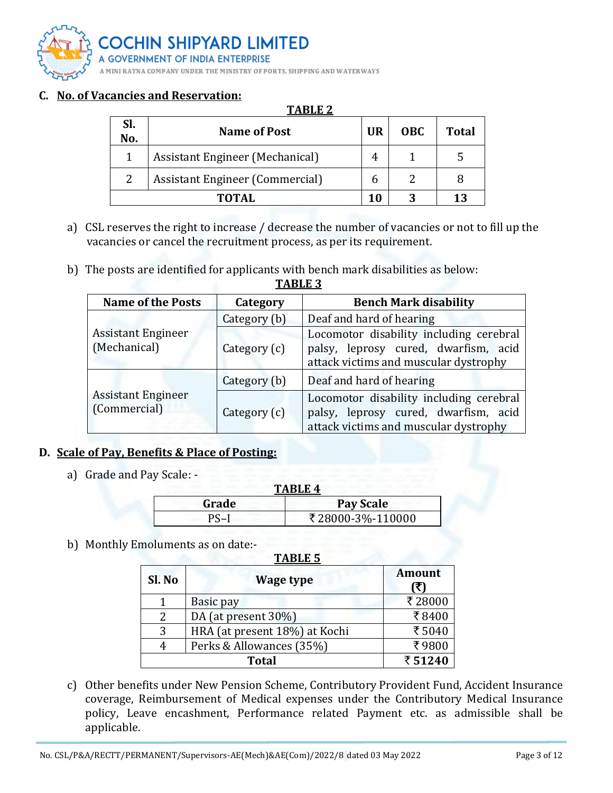

## **C. No. of Vacancies and Reservation:**

#### **TABLE 2**

| Sl.<br>No. | <b>Name of Post</b>                    | <b>UR</b> | <b>OBC</b> | <b>Total</b> |
|------------|----------------------------------------|-----------|------------|--------------|
|            | <b>Assistant Engineer (Mechanical)</b> |           |            |              |
| 2          | <b>Assistant Engineer (Commercial)</b> |           |            |              |
| TOTAL      |                                        |           |            | 13           |

- a) CSL reserves the right to increase / decrease the number of vacancies or not to fill up the vacancies or cancel the recruitment process, as per its requirement.
- b) The posts are identified for applicants with bench mark disabilities as below:

| <b>Name of the Posts</b>                  | Category     | <b>Bench Mark disability</b>                                                                                             |  |  |
|-------------------------------------------|--------------|--------------------------------------------------------------------------------------------------------------------------|--|--|
|                                           | Category (b) | Deaf and hard of hearing                                                                                                 |  |  |
| <b>Assistant Engineer</b><br>(Mechanical) | Category (c) | Locomotor disability including cerebral<br>palsy, leprosy cured, dwarfism, acid<br>attack victims and muscular dystrophy |  |  |
|                                           | Category (b) | Deaf and hard of hearing                                                                                                 |  |  |
| <b>Assistant Engineer</b><br>(Commercial) | Category (c) | Locomotor disability including cerebral<br>palsy, leprosy cured, dwarfism, acid<br>attack victims and muscular dystrophy |  |  |

#### **TABLE 3**

## **D. Scale of Pay, Benefits & Place of Posting:**

a) Grade and Pay Scale: -

| TABLE 4 |                  |  |  |
|---------|------------------|--|--|
| Grade   | Pay Scale        |  |  |
| PS-I    | ₹28000-3%-110000 |  |  |

b) Monthly Emoluments as on date:-

#### **TABLE 5**

| Sl. No | <b>Wage type</b>              | <b>Amount</b><br>₹1 |
|--------|-------------------------------|---------------------|
|        | Basic pay                     | ₹28000              |
| 2      | DA (at present 30%)           | ₹8400               |
| 3      | HRA (at present 18%) at Kochi | ₹5040               |
| 4      | Perks & Allowances (35%)      | ₹9800               |
|        | ₹51240                        |                     |

c) Other benefits under New Pension Scheme, Contributory Provident Fund, Accident Insurance coverage, Reimbursement of Medical expenses under the Contributory Medical Insurance policy, Leave encashment, Performance related Payment etc. as admissible shall be applicable.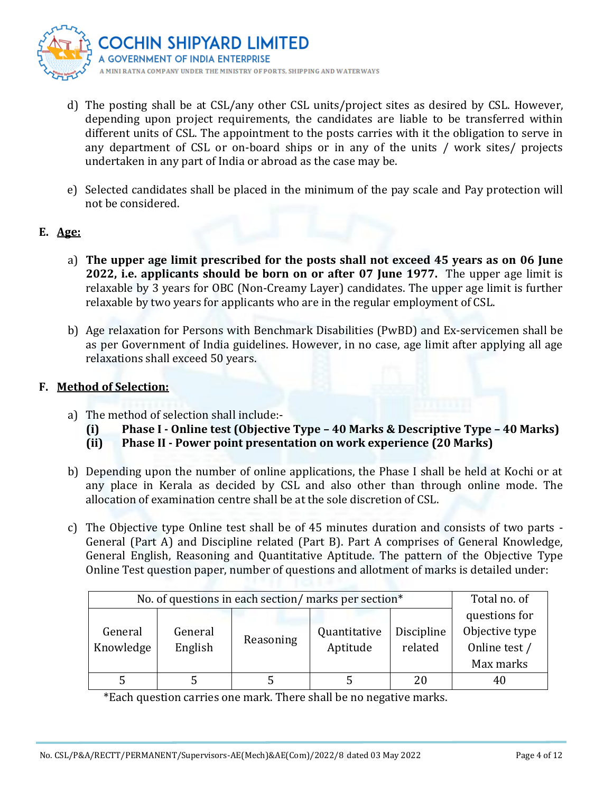

- d) The posting shall be at CSL/any other CSL units/project sites as desired by CSL. However, depending upon project requirements, the candidates are liable to be transferred within different units of CSL. The appointment to the posts carries with it the obligation to serve in any department of CSL or on-board ships or in any of the units / work sites/ projects undertaken in any part of India or abroad as the case may be.
- e) Selected candidates shall be placed in the minimum of the pay scale and Pay protection will not be considered.

## **E. Age:**

- a) **The upper age limit prescribed for the posts shall not exceed 45 years as on 06 June 2022, i.e. applicants should be born on or after 07 June 1977.** The upper age limit is relaxable by 3 years for OBC (Non-Creamy Layer) candidates. The upper age limit is further relaxable by two years for applicants who are in the regular employment of CSL.
- b) Age relaxation for Persons with Benchmark Disabilities (PwBD) and Ex-servicemen shall be as per Government of India guidelines. However, in no case, age limit after applying all age relaxations shall exceed 50 years.

## **F. Method of Selection:**

- a) The method of selection shall include:-
	- **(i) Phase I - Online test (Objective Type – 40 Marks & Descriptive Type – 40 Marks)**
	- **(ii) Phase II - Power point presentation on work experience (20 Marks)**
- b) Depending upon the number of online applications, the Phase I shall be held at Kochi or at any place in Kerala as decided by CSL and also other than through online mode. The allocation of examination centre shall be at the sole discretion of CSL.
- c) The Objective type Online test shall be of 45 minutes duration and consists of two parts General (Part A) and Discipline related (Part B). Part A comprises of General Knowledge, General English, Reasoning and Quantitative Aptitude. The pattern of the Objective Type Online Test question paper, number of questions and allotment of marks is detailed under:

| No. of questions in each section/ marks per section* | Total no. of |           |              |            |                |
|------------------------------------------------------|--------------|-----------|--------------|------------|----------------|
|                                                      |              |           |              |            | questions for  |
| General                                              | General      |           | Quantitative | Discipline | Objective type |
| Knowledge                                            | English      | Reasoning | Aptitude     | related    | Online test /  |
|                                                      |              |           |              |            | Max marks      |
|                                                      |              |           |              | 20         |                |

\*Each question carries one mark. There shall be no negative marks.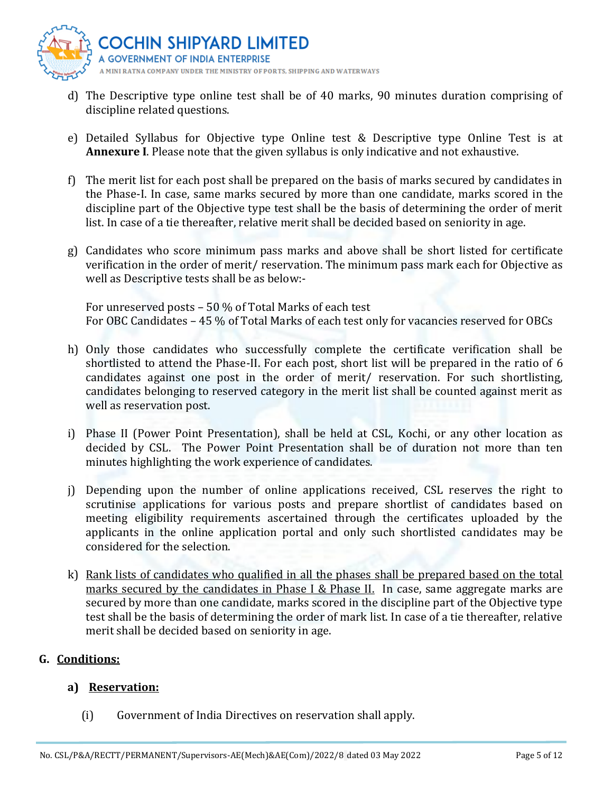

- d) The Descriptive type online test shall be of 40 marks, 90 minutes duration comprising of discipline related questions.
- e) Detailed Syllabus for Objective type Online test & Descriptive type Online Test is at **Annexure I**. Please note that the given syllabus is only indicative and not exhaustive.
- f) The merit list for each post shall be prepared on the basis of marks secured by candidates in the Phase-I. In case, same marks secured by more than one candidate, marks scored in the discipline part of the Objective type test shall be the basis of determining the order of merit list. In case of a tie thereafter, relative merit shall be decided based on seniority in age.
- g) Candidates who score minimum pass marks and above shall be short listed for certificate verification in the order of merit/ reservation. The minimum pass mark each for Objective as well as Descriptive tests shall be as below:-

For unreserved posts – 50 % of Total Marks of each test For OBC Candidates – 45 % of Total Marks of each test only for vacancies reserved for OBCs

- h) Only those candidates who successfully complete the certificate verification shall be shortlisted to attend the Phase-II. For each post, short list will be prepared in the ratio of 6 candidates against one post in the order of merit/ reservation. For such shortlisting, candidates belonging to reserved category in the merit list shall be counted against merit as well as reservation post.
- i) Phase II (Power Point Presentation), shall be held at CSL, Kochi, or any other location as decided by CSL. The Power Point Presentation shall be of duration not more than ten minutes highlighting the work experience of candidates.
- j) Depending upon the number of online applications received, CSL reserves the right to scrutinise applications for various posts and prepare shortlist of candidates based on meeting eligibility requirements ascertained through the certificates uploaded by the applicants in the online application portal and only such shortlisted candidates may be considered for the selection.
- k) Rank lists of candidates who qualified in all the phases shall be prepared based on the total marks secured by the candidates in Phase I & Phase II. In case, same aggregate marks are secured by more than one candidate, marks scored in the discipline part of the Objective type test shall be the basis of determining the order of mark list. In case of a tie thereafter, relative merit shall be decided based on seniority in age.

# **G. Conditions:**

# **a) Reservation:**

(i) Government of India Directives on reservation shall apply.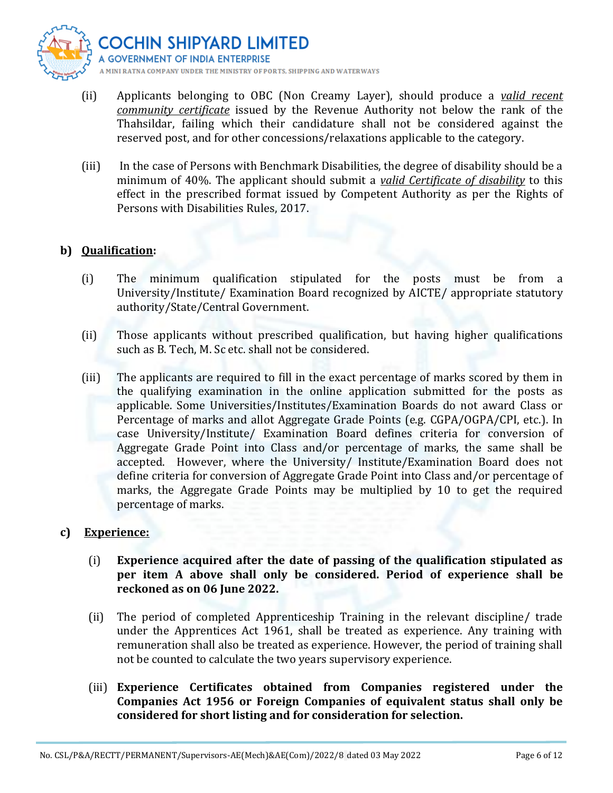

- (ii) Applicants belonging to OBC (Non Creamy Layer), should produce a *valid recent community certificate* issued by the Revenue Authority not below the rank of the Thahsildar, failing which their candidature shall not be considered against the reserved post, and for other concessions/relaxations applicable to the category.
- (iii) In the case of Persons with Benchmark Disabilities, the degree of disability should be a minimum of 40%. The applicant should submit a *valid Certificate of disability* to this effect in the prescribed format issued by Competent Authority as per the Rights of Persons with Disabilities Rules, 2017.

## **b) Qualification:**

- (i) The minimum qualification stipulated for the posts must be from a University/Institute/ Examination Board recognized by AICTE/ appropriate statutory authority/State/Central Government.
- (ii) Those applicants without prescribed qualification, but having higher qualifications such as B. Tech, M. Sc etc. shall not be considered.
- (iii) The applicants are required to fill in the exact percentage of marks scored by them in the qualifying examination in the online application submitted for the posts as applicable. Some Universities/Institutes/Examination Boards do not award Class or Percentage of marks and allot Aggregate Grade Points (e.g. CGPA/OGPA/CPI, etc.). In case University/Institute/ Examination Board defines criteria for conversion of Aggregate Grade Point into Class and/or percentage of marks, the same shall be accepted. However, where the University/ Institute/Examination Board does not define criteria for conversion of Aggregate Grade Point into Class and/or percentage of marks, the Aggregate Grade Points may be multiplied by 10 to get the required percentage of marks.

## **c) Experience:**

- (i) **Experience acquired after the date of passing of the qualification stipulated as per item A above shall only be considered. Period of experience shall be reckoned as on 06 June 2022.**
- (ii) The period of completed Apprenticeship Training in the relevant discipline/ trade under the Apprentices Act 1961, shall be treated as experience. Any training with remuneration shall also be treated as experience. However, the period of training shall not be counted to calculate the two years supervisory experience.
- (iii) **Experience Certificates obtained from Companies registered under the Companies Act 1956 or Foreign Companies of equivalent status shall only be considered for short listing and for consideration for selection.**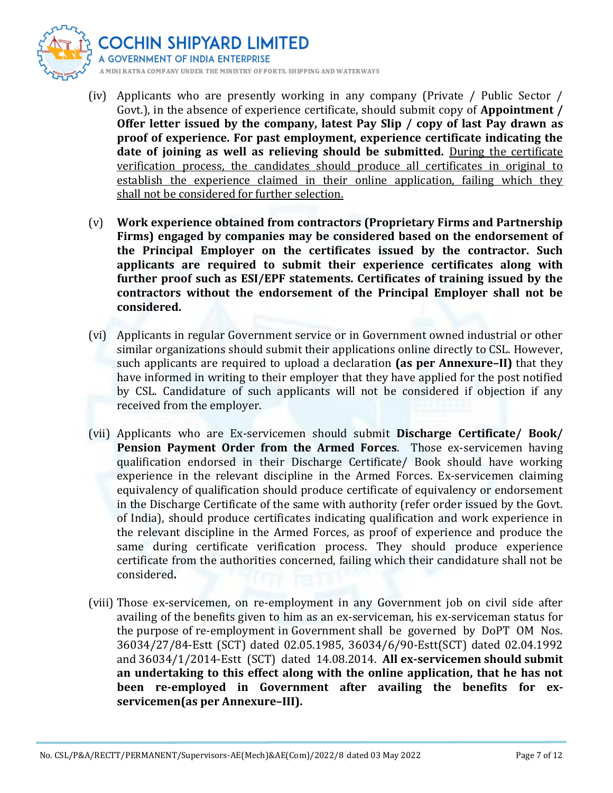

- (iv) Applicants who are presently working in any company (Private / Public Sector / Govt.), in the absence of experience certificate, should submit copy of **Appointment / Offer letter issued by the company, latest Pay Slip / copy of last Pay drawn as proof of experience. For past employment, experience certificate indicating the date of joining as well as relieving should be submitted.** During the certificate verification process, the candidates should produce all certificates in original to establish the experience claimed in their online application, failing which they shall not be considered for further selection.
- (v) **Work experience obtained from contractors (Proprietary Firms and Partnership Firms) engaged by companies may be considered based on the endorsement of the Principal Employer on the certificates issued by the contractor. Such applicants are required to submit their experience certificates along with further proof such as ESI/EPF statements. Certificates of training issued by the contractors without the endorsement of the Principal Employer shall not be considered.**
- (vi) Applicants in regular Government service or in Government owned industrial or other similar organizations should submit their applications online directly to CSL. However, such applicants are required to upload a declaration **(as per Annexure–II)** that they have informed in writing to their employer that they have applied for the post notified by CSL. Candidature of such applicants will not be considered if objection if any received from the employer.
- (vii) Applicants who are Ex-servicemen should submit **Discharge Certificate/ Book/ Pension Payment Order from the Armed Forces**. Those ex-servicemen having qualification endorsed in their Discharge Certificate/ Book should have working experience in the relevant discipline in the Armed Forces. Ex-servicemen claiming equivalency of qualification should produce certificate of equivalency or endorsement in the Discharge Certificate of the same with authority (refer order issued by the Govt. of India), should produce certificates indicating qualification and work experience in the relevant discipline in the Armed Forces, as proof of experience and produce the same during certificate verification process. They should produce experience certificate from the authorities concerned, failing which their candidature shall not be considered**.**
- (viii) Those ex-servicemen, on re-employment in any Government job on civil side after availing of the benefits given to him as an ex-serviceman, his ex-serviceman status for the purpose of re-employment in Government shall be governed by DoPT OM Nos. 36034/27/84-Estt (SCT) dated 02.05.1985, 36034/6/90-Estt(SCT) dated 02.04.1992 and 36034/1/2014-Estt (SCT) dated 14.08.2014. **All ex-servicemen should submit an undertaking to this effect along with the online application, that he has not been re-employed in Government after availing the benefits for exservicemen(as per Annexure–III).**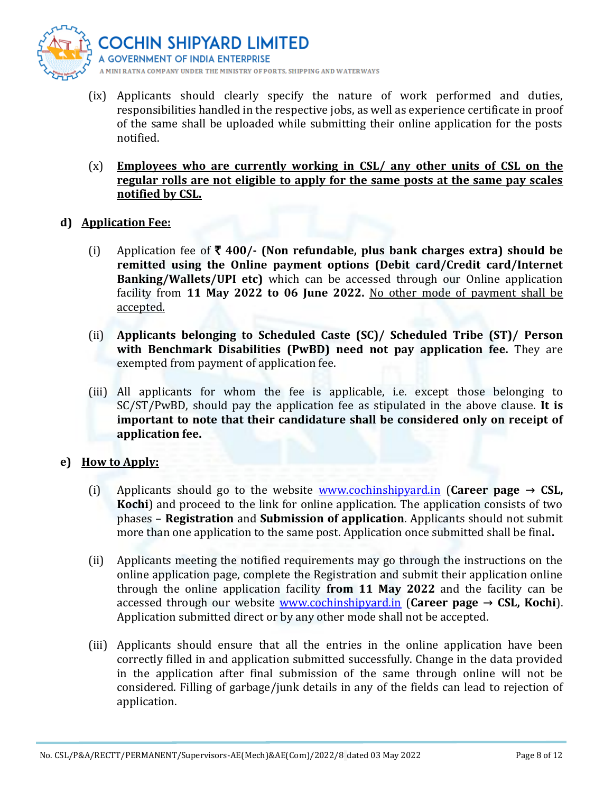

- (ix) Applicants should clearly specify the nature of work performed and duties, responsibilities handled in the respective jobs, as well as experience certificate in proof of the same shall be uploaded while submitting their online application for the posts notified.
- (x) **Employees who are currently working in CSL/ any other units of CSL on the regular rolls are not eligible to apply for the same posts at the same pay scales notified by CSL.**

#### **d) Application Fee:**

- (i) Application fee of  $\bar{\tau}$  400/- (Non refundable, plus bank charges extra) should be **remitted using the Online payment options (Debit card/Credit card/Internet Banking/Wallets/UPI etc)** which can be accessed through our Online application facility from **11 May 2022 to 06 June 2022.** No other mode of payment shall be accepted.
- (ii) **Applicants belonging to Scheduled Caste (SC)/ Scheduled Tribe (ST)/ Person with Benchmark Disabilities (PwBD) need not pay application fee.** They are exempted from payment of application fee.
- (iii) All applicants for whom the fee is applicable, i.e. except those belonging to SC/ST/PwBD, should pay the application fee as stipulated in the above clause. **It is important to note that their candidature shall be considered only on receipt of application fee.**

## **e) How to Apply:**

- (i) Applicants should go to the website [www.cochinshipyard.in](http://www.cochinshipyard.in/) (**Career page → CSL, Kochi**) and proceed to the link for online application. The application consists of two phases – **Registration** and **Submission of application**. Applicants should not submit more than one application to the same post. Application once submitted shall be final**.**
- (ii) Applicants meeting the notified requirements may go through the instructions on the online application page, complete the Registration and submit their application online through the online application facility **from 11 May 2022** and the facility can be accessed through our website [www.cochinshipyard.in](http://www.cochinshipyard.in/) (**Career page → CSL, Kochi**). Application submitted direct or by any other mode shall not be accepted.
- (iii) Applicants should ensure that all the entries in the online application have been correctly filled in and application submitted successfully. Change in the data provided in the application after final submission of the same through online will not be considered. Filling of garbage/junk details in any of the fields can lead to rejection of application.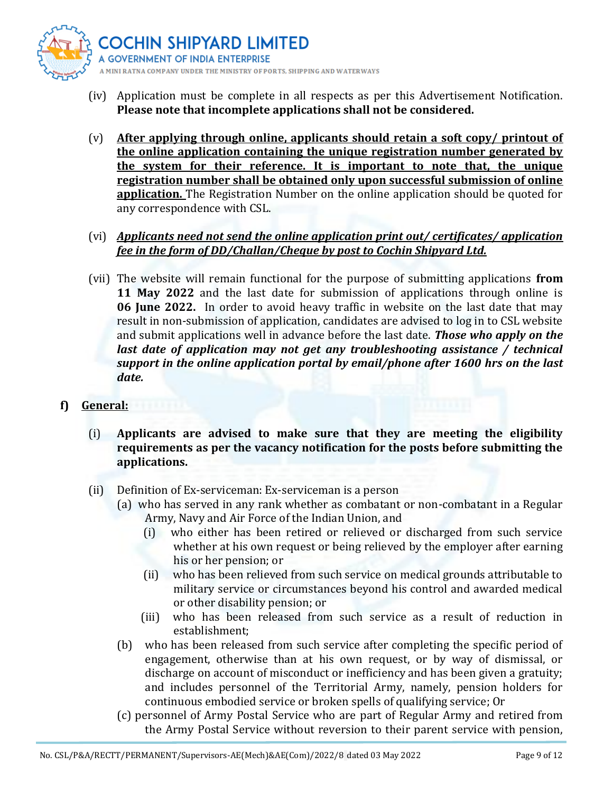

- (iv) Application must be complete in all respects as per this Advertisement Notification. **Please note that incomplete applications shall not be considered.**
- (v) **After applying through online, applicants should retain a soft copy/ printout of the online application containing the unique registration number generated by the system for their reference. It is important to note that, the unique registration number shall be obtained only upon successful submission of online application.** The Registration Number on the online application should be quoted for any correspondence with CSL.

## (vi) *Applicants need not send the online application print out/ certificates/ application fee in the form of DD/Challan/Cheque by post to Cochin Shipyard Ltd.*

(vii) The website will remain functional for the purpose of submitting applications **from 11 May 2022** and the last date for submission of applications through online is **06 June 2022.** In order to avoid heavy traffic in website on the last date that may result in non-submission of application, candidates are advised to log in to CSL website and submit applications well in advance before the last date. *Those who apply on the last date of application may not get any troubleshooting assistance / technical support in the online application portal by email/phone after 1600 hrs on the last date.* 

## **f) General:**

- (i) **Applicants are advised to make sure that they are meeting the eligibility requirements as per the vacancy notification for the posts before submitting the applications.**
- (ii) Definition of Ex-serviceman: Ex-serviceman is a person
	- (a) who has served in any rank whether as combatant or non-combatant in a Regular Army, Navy and Air Force of the Indian Union, and
		- (i) who either has been retired or relieved or discharged from such service whether at his own request or being relieved by the employer after earning his or her pension; or
		- (ii) who has been relieved from such service on medical grounds attributable to military service or circumstances beyond his control and awarded medical or other disability pension; or
		- (iii) who has been released from such service as a result of reduction in establishment;
	- (b) who has been released from such service after completing the specific period of engagement, otherwise than at his own request, or by way of dismissal, or discharge on account of misconduct or inefficiency and has been given a gratuity; and includes personnel of the Territorial Army, namely, pension holders for continuous embodied service or broken spells of qualifying service; Or
	- (c) personnel of Army Postal Service who are part of Regular Army and retired from the Army Postal Service without reversion to their parent service with pension,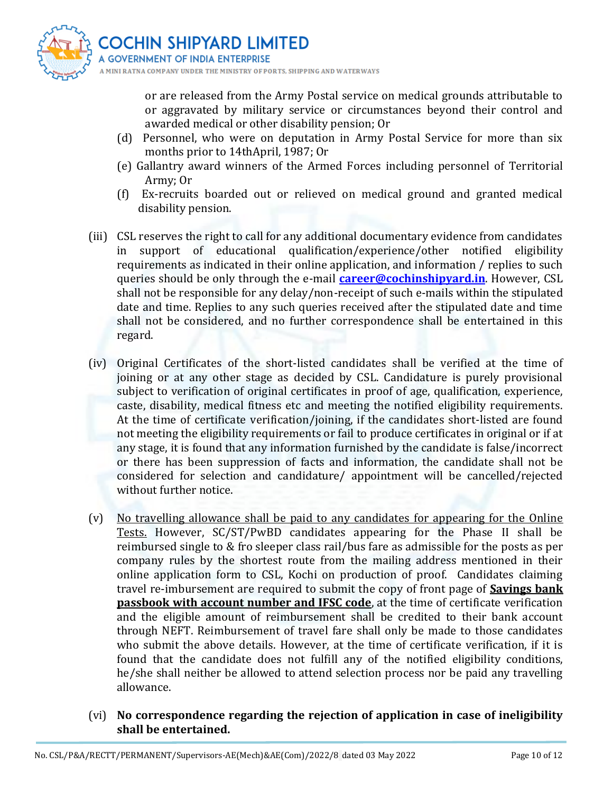

or are released from the Army Postal service on medical grounds attributable to or aggravated by military service or circumstances beyond their control and awarded medical or other disability pension; Or

- (d) Personnel, who were on deputation in Army Postal Service for more than six months prior to 14thApril, 1987; Or
- (e) Gallantry award winners of the Armed Forces including personnel of Territorial Army; Or
- (f) Ex-recruits boarded out or relieved on medical ground and granted medical disability pension.
- (iii) CSL reserves the right to call for any additional documentary evidence from candidates in support of educational qualification/experience/other notified eligibility requirements as indicated in their online application, and information / replies to such queries should be only through the e-mail **[career@cochinshipyard.in](mailto:career@cochinshipyard.in)**. However, CSL shall not be responsible for any delay/non-receipt of such e-mails within the stipulated date and time. Replies to any such queries received after the stipulated date and time shall not be considered, and no further correspondence shall be entertained in this regard.
- (iv) Original Certificates of the short-listed candidates shall be verified at the time of joining or at any other stage as decided by CSL. Candidature is purely provisional subject to verification of original certificates in proof of age, qualification, experience, caste, disability, medical fitness etc and meeting the notified eligibility requirements. At the time of certificate verification/joining, if the candidates short-listed are found not meeting the eligibility requirements or fail to produce certificates in original or if at any stage, it is found that any information furnished by the candidate is false/incorrect or there has been suppression of facts and information, the candidate shall not be considered for selection and candidature/ appointment will be cancelled/rejected without further notice.
- (v) No travelling allowance shall be paid to any candidates for appearing for the Online Tests. However, SC/ST/PwBD candidates appearing for the Phase II shall be reimbursed single to & fro sleeper class rail/bus fare as admissible for the posts as per company rules by the shortest route from the mailing address mentioned in their online application form to CSL, Kochi on production of proof. Candidates claiming travel re-imbursement are required to submit the copy of front page of **Savings bank passbook with account number and IFSC code**, at the time of certificate verification and the eligible amount of reimbursement shall be credited to their bank account through NEFT. Reimbursement of travel fare shall only be made to those candidates who submit the above details. However, at the time of certificate verification, if it is found that the candidate does not fulfill any of the notified eligibility conditions, he/she shall neither be allowed to attend selection process nor be paid any travelling allowance.
- (vi) **No correspondence regarding the rejection of application in case of ineligibility shall be entertained.**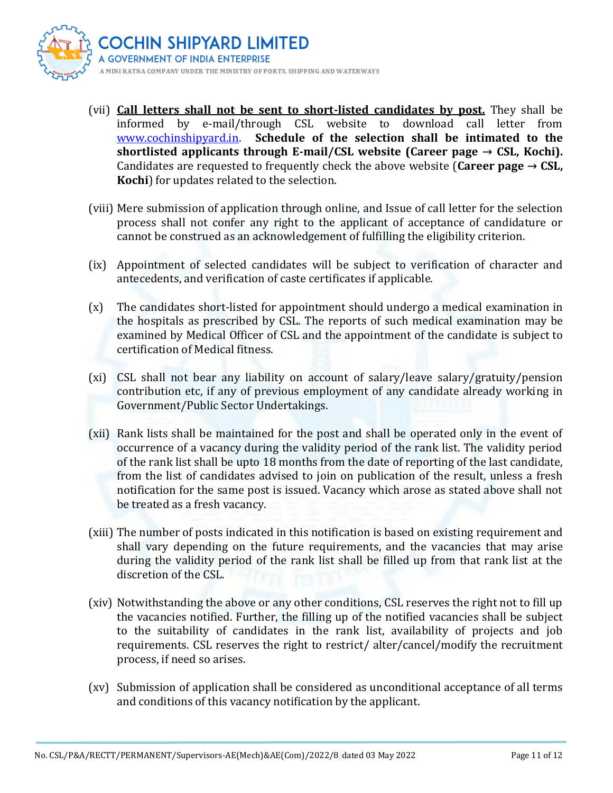

- (vii) **Call letters shall not be sent to short-listed candidates by post.** They shall be informed by e-mail/through CSL website to download call letter from [www.cochinshipyard.in.](http://www.cochinshipyard.in/) **Schedule of the selection shall be intimated to the shortlisted applicants through E-mail/CSL website (Career page → CSL, Kochi).** Candidates are requested to frequently check the above website (**Career page → CSL, Kochi**) for updates related to the selection.
- (viii) Mere submission of application through online, and Issue of call letter for the selection process shall not confer any right to the applicant of acceptance of candidature or cannot be construed as an acknowledgement of fulfilling the eligibility criterion.
- (ix) Appointment of selected candidates will be subject to verification of character and antecedents, and verification of caste certificates if applicable.
- (x) The candidates short-listed for appointment should undergo a medical examination in the hospitals as prescribed by CSL. The reports of such medical examination may be examined by Medical Officer of CSL and the appointment of the candidate is subject to certification of Medical fitness.
- (xi) CSL shall not bear any liability on account of salary/leave salary/gratuity/pension contribution etc, if any of previous employment of any candidate already working in Government/Public Sector Undertakings.
- (xii) Rank lists shall be maintained for the post and shall be operated only in the event of occurrence of a vacancy during the validity period of the rank list. The validity period of the rank list shall be upto 18 months from the date of reporting of the last candidate, from the list of candidates advised to join on publication of the result, unless a fresh notification for the same post is issued. Vacancy which arose as stated above shall not be treated as a fresh vacancy.
- (xiii) The number of posts indicated in this notification is based on existing requirement and shall vary depending on the future requirements, and the vacancies that may arise during the validity period of the rank list shall be filled up from that rank list at the discretion of the CSL.
- (xiv) Notwithstanding the above or any other conditions, CSL reserves the right not to fill up the vacancies notified. Further, the filling up of the notified vacancies shall be subject to the suitability of candidates in the rank list, availability of projects and job requirements. CSL reserves the right to restrict/ alter/cancel/modify the recruitment process, if need so arises.
- (xv) Submission of application shall be considered as unconditional acceptance of all terms and conditions of this vacancy notification by the applicant.